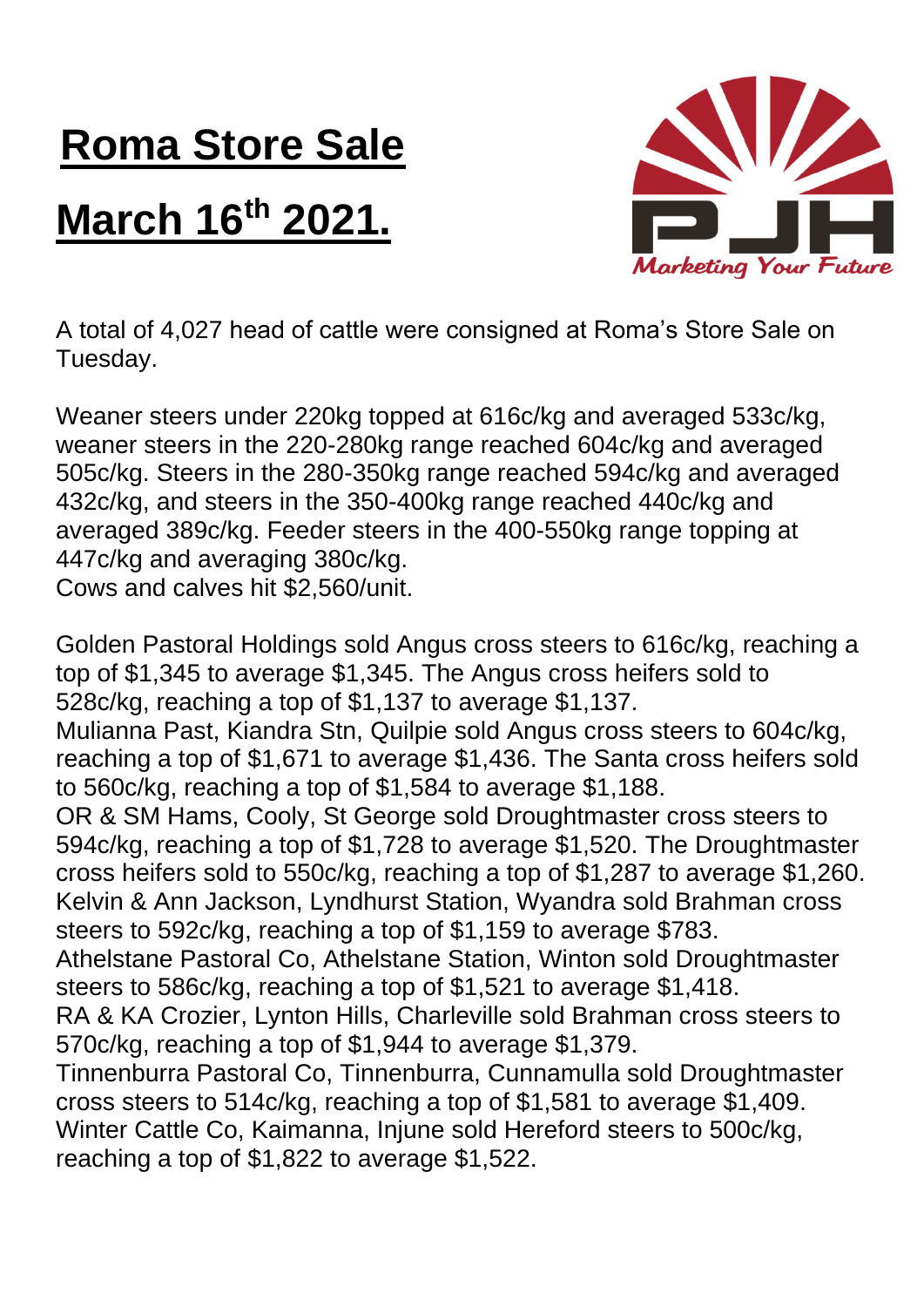## **Roma Store Sale**

## **March 16th 2021.**



A total of 4,027 head of cattle were consigned at Roma's Store Sale on Tuesday.

Weaner steers under 220kg topped at 616c/kg and averaged 533c/kg, weaner steers in the 220-280kg range reached 604c/kg and averaged 505c/kg. Steers in the 280-350kg range reached 594c/kg and averaged 432c/kg, and steers in the 350-400kg range reached 440c/kg and averaged 389c/kg. Feeder steers in the 400-550kg range topping at 447c/kg and averaging 380c/kg.

Cows and calves hit \$2,560/unit.

Golden Pastoral Holdings sold Angus cross steers to 616c/kg, reaching a top of \$1,345 to average \$1,345. The Angus cross heifers sold to 528c/kg, reaching a top of \$1,137 to average \$1,137. Mulianna Past, Kiandra Stn, Quilpie sold Angus cross steers to 604c/kg, reaching a top of \$1,671 to average \$1,436. The Santa cross heifers sold to 560c/kg, reaching a top of \$1,584 to average \$1,188. OR & SM Hams, Cooly, St George sold Droughtmaster cross steers to 594c/kg, reaching a top of \$1,728 to average \$1,520. The Droughtmaster cross heifers sold to 550c/kg, reaching a top of \$1,287 to average \$1,260. Kelvin & Ann Jackson, Lyndhurst Station, Wyandra sold Brahman cross steers to 592c/kg, reaching a top of \$1,159 to average \$783. Athelstane Pastoral Co, Athelstane Station, Winton sold Droughtmaster steers to 586c/kg, reaching a top of \$1,521 to average \$1,418. RA & KA Crozier, Lynton Hills, Charleville sold Brahman cross steers to 570c/kg, reaching a top of \$1,944 to average \$1,379. Tinnenburra Pastoral Co, Tinnenburra, Cunnamulla sold Droughtmaster cross steers to 514c/kg, reaching a top of \$1,581 to average \$1,409. Winter Cattle Co, Kaimanna, Injune sold Hereford steers to 500c/kg, reaching a top of \$1,822 to average \$1,522.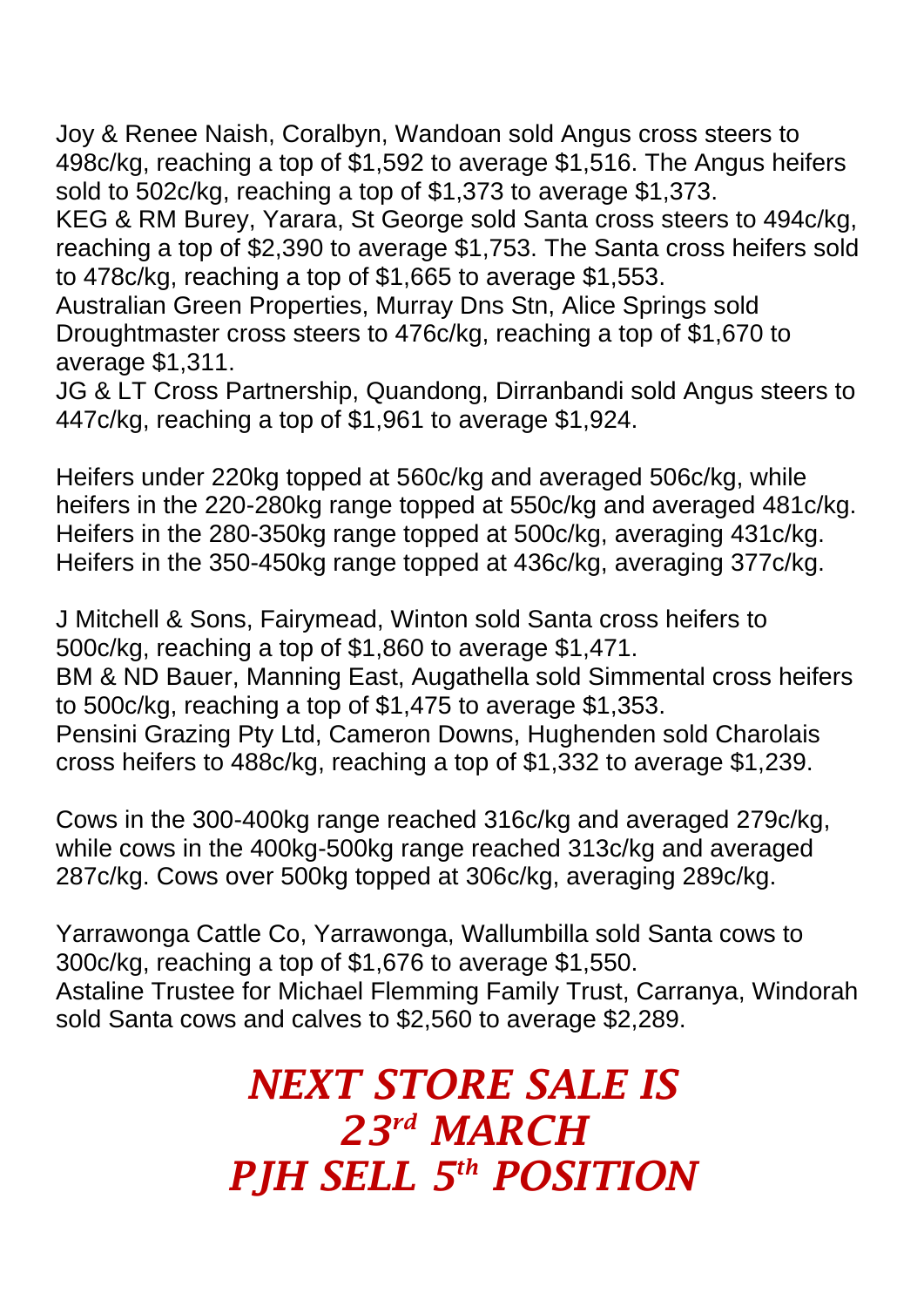Joy & Renee Naish, Coralbyn, Wandoan sold Angus cross steers to 498c/kg, reaching a top of \$1,592 to average \$1,516. The Angus heifers sold to 502c/kg, reaching a top of \$1,373 to average \$1,373.

KEG & RM Burey, Yarara, St George sold Santa cross steers to 494c/kg, reaching a top of \$2,390 to average \$1,753. The Santa cross heifers sold to 478c/kg, reaching a top of \$1,665 to average \$1,553.

Australian Green Properties, Murray Dns Stn, Alice Springs sold Droughtmaster cross steers to 476c/kg, reaching a top of \$1,670 to average \$1,311.

JG & LT Cross Partnership, Quandong, Dirranbandi sold Angus steers to 447c/kg, reaching a top of \$1,961 to average \$1,924.

Heifers under 220kg topped at 560c/kg and averaged 506c/kg, while heifers in the 220-280kg range topped at 550c/kg and averaged 481c/kg. Heifers in the 280-350kg range topped at 500c/kg, averaging 431c/kg. Heifers in the 350-450kg range topped at 436c/kg, averaging 377c/kg.

J Mitchell & Sons, Fairymead, Winton sold Santa cross heifers to 500c/kg, reaching a top of \$1,860 to average \$1,471.

BM & ND Bauer, Manning East, Augathella sold Simmental cross heifers to 500c/kg, reaching a top of \$1,475 to average \$1,353.

Pensini Grazing Pty Ltd, Cameron Downs, Hughenden sold Charolais cross heifers to 488c/kg, reaching a top of \$1,332 to average \$1,239.

Cows in the 300-400kg range reached 316c/kg and averaged 279c/kg, while cows in the 400kg-500kg range reached 313c/kg and averaged 287c/kg. Cows over 500kg topped at 306c/kg, averaging 289c/kg.

Yarrawonga Cattle Co, Yarrawonga, Wallumbilla sold Santa cows to 300c/kg, reaching a top of \$1,676 to average \$1,550. Astaline Trustee for Michael Flemming Family Trust, Carranya, Windorah sold Santa cows and calves to \$2,560 to average \$2,289.

## *NEXT STORE SALE IS 23rd MARCH PJH SELL 5 th POSITION*